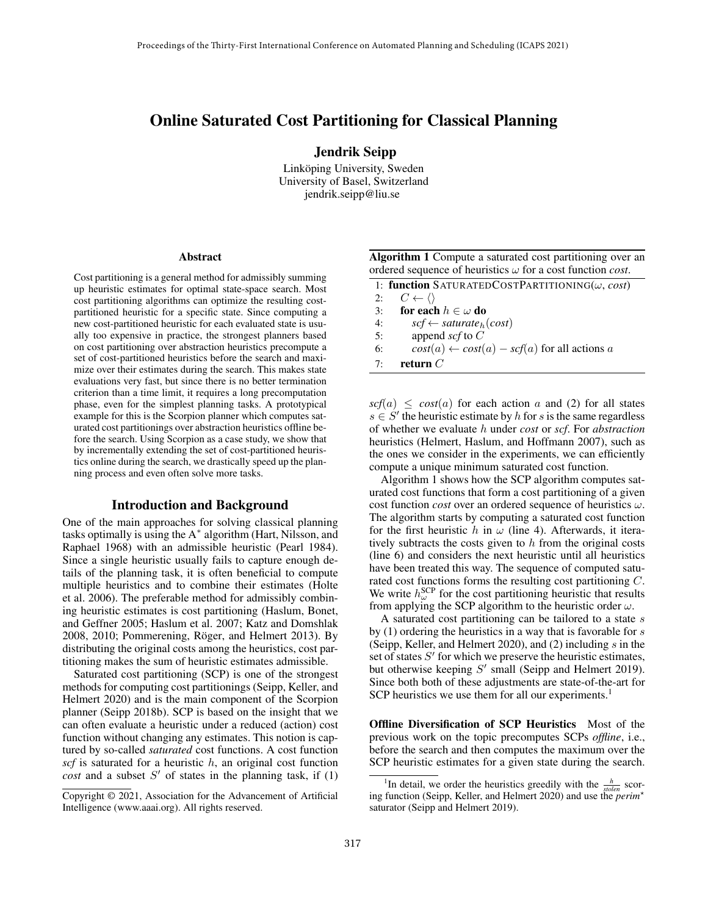# Online Saturated Cost Partitioning for Classical Planning

Jendrik Seipp

Linköping University, Sweden University of Basel, Switzerland jendrik.seipp@liu.se

#### Abstract

Cost partitioning is a general method for admissibly summing up heuristic estimates for optimal state-space search. Most cost partitioning algorithms can optimize the resulting costpartitioned heuristic for a specific state. Since computing a new cost-partitioned heuristic for each evaluated state is usually too expensive in practice, the strongest planners based on cost partitioning over abstraction heuristics precompute a set of cost-partitioned heuristics before the search and maximize over their estimates during the search. This makes state evaluations very fast, but since there is no better termination criterion than a time limit, it requires a long precomputation phase, even for the simplest planning tasks. A prototypical example for this is the Scorpion planner which computes saturated cost partitionings over abstraction heuristics offline before the search. Using Scorpion as a case study, we show that by incrementally extending the set of cost-partitioned heuristics online during the search, we drastically speed up the planning process and even often solve more tasks.

#### Introduction and Background

One of the main approaches for solving classical planning tasks optimally is using the A<sup>∗</sup> algorithm (Hart, Nilsson, and Raphael 1968) with an admissible heuristic (Pearl 1984). Since a single heuristic usually fails to capture enough details of the planning task, it is often beneficial to compute multiple heuristics and to combine their estimates (Holte et al. 2006). The preferable method for admissibly combining heuristic estimates is cost partitioning (Haslum, Bonet, and Geffner 2005; Haslum et al. 2007; Katz and Domshlak 2008, 2010; Pommerening, Röger, and Helmert 2013). By distributing the original costs among the heuristics, cost partitioning makes the sum of heuristic estimates admissible.

Saturated cost partitioning (SCP) is one of the strongest methods for computing cost partitionings (Seipp, Keller, and Helmert 2020) and is the main component of the Scorpion planner (Seipp 2018b). SCP is based on the insight that we can often evaluate a heuristic under a reduced (action) cost function without changing any estimates. This notion is captured by so-called *saturated* cost functions. A cost function  $scf$  is saturated for a heuristic  $h$ , an original cost function  $cost$  and a subset  $S'$  of states in the planning task, if  $(1)$ 

| Algorithm 1 Compute a saturated cost partitioning over an                 |  |
|---------------------------------------------------------------------------|--|
| ordered sequence of heuristics $\omega$ for a cost function <i>cost</i> . |  |

|          | 1: function SATURATEDCOSTPARTITIONING( $\omega$ , cost) |
|----------|---------------------------------------------------------|
| 2:       | $C \leftarrow \langle \rangle$                          |
| 3:       | for each $h \in \omega$ do                              |
| 4:       | $scf \leftarrow saturate_h(cost)$                       |
| 5:       | append $\mathop{scf}$ to $C$                            |
| 6:       | $cost(a) \leftarrow cost(a) - scf(a)$ for all actions a |
| $7\cdot$ | return $C$                                              |

 $scf(a) \leq cost(a)$  for each action a and (2) for all states  $s \in S'$  the heuristic estimate by h for s is the same regardless of whether we evaluate h under *cost* or *scf*. For *abstraction* heuristics (Helmert, Haslum, and Hoffmann 2007), such as the ones we consider in the experiments, we can efficiently compute a unique minimum saturated cost function.

Algorithm 1 shows how the SCP algorithm computes saturated cost functions that form a cost partitioning of a given cost function *cost* over an ordered sequence of heuristics  $\omega$ . The algorithm starts by computing a saturated cost function for the first heuristic h in  $\omega$  (line 4). Afterwards, it iteratively subtracts the costs given to  $h$  from the original costs (line 6) and considers the next heuristic until all heuristics have been treated this way. The sequence of computed saturated cost functions forms the resulting cost partitioning C. We write  $h_{\omega}^{\text{SCP}}$  for the cost partitioning heuristic that results from applying the SCP algorithm to the heuristic order  $\omega$ .

A saturated cost partitioning can be tailored to a state s by  $(1)$  ordering the heuristics in a way that is favorable for s (Seipp, Keller, and Helmert 2020), and (2) including s in the set of states  $S'$  for which we preserve the heuristic estimates, but otherwise keeping  $S'$  small (Seipp and Helmert 2019). Since both both of these adjustments are state-of-the-art for SCP heuristics we use them for all our experiments.<sup>1</sup>

Offline Diversification of SCP Heuristics Most of the previous work on the topic precomputes SCPs *offline*, i.e., before the search and then computes the maximum over the SCP heuristic estimates for a given state during the search.

Copyright © 2021, Association for the Advancement of Artificial Intelligence (www.aaai.org). All rights reserved.

<sup>&</sup>lt;sup>1</sup>In detail, we order the heuristics greedily with the  $\frac{h}{\text{stolen}}$  scoring function (Seipp, Keller, and Helmert 2020) and use the *perim*? saturator (Seipp and Helmert 2019).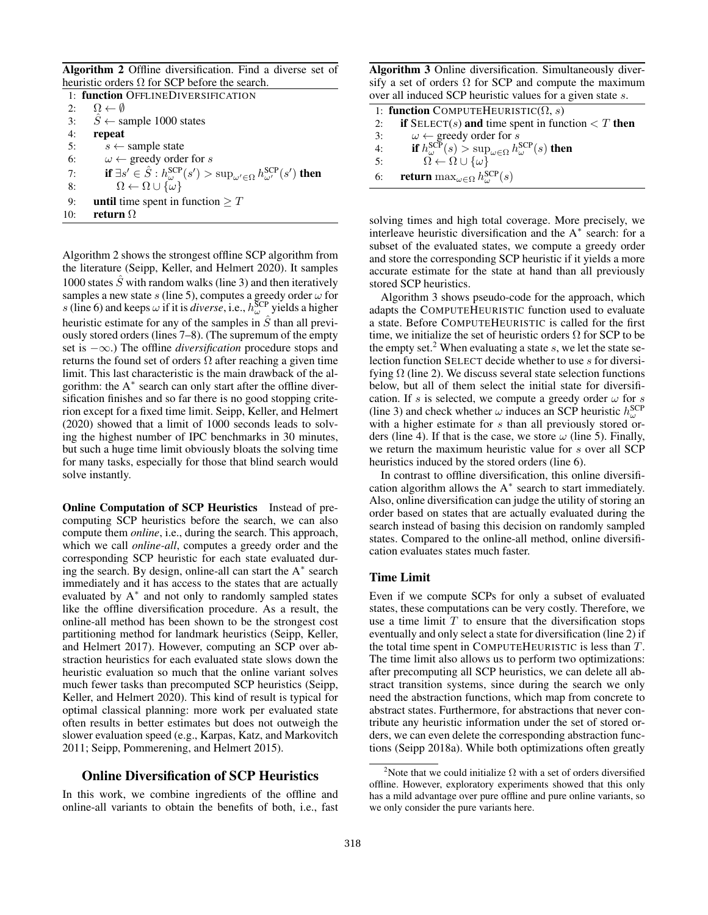Algorithm 2 Offline diversification. Find a diverse set of heuristic orders  $\Omega$  for SCP before the search.

|     | 1: function OFFLINEDIVERSIFICATION                                                                                      |
|-----|-------------------------------------------------------------------------------------------------------------------------|
| 2:  | $\Omega \leftarrow \emptyset$                                                                                           |
| 3:  | $\hat{S} \leftarrow$ sample 1000 states                                                                                 |
| 4:  | repeat                                                                                                                  |
| 5:  | $s \leftarrow$ sample state                                                                                             |
| 6:  | $\omega \leftarrow$ greedy order for s                                                                                  |
| 7:  | if $\exists s' \in \hat{S} : h^{\text{SCP}}_{\omega}(s') > \sup_{\omega' \in \Omega} h^{\text{SCP}}_{\omega'}(s')$ then |
| 8:  | $\Omega \leftarrow \Omega \cup {\tilde{\omega}}$                                                                        |
| 9:  | <b>until</b> time spent in function $\geq T$                                                                            |
| 10: | return $\Omega$                                                                                                         |
|     |                                                                                                                         |

Algorithm 2 shows the strongest offline SCP algorithm from the literature (Seipp, Keller, and Helmert 2020). It samples 1000 states  $\hat{S}$  with random walks (line 3) and then iteratively samples a new state s (line 5), computes a greedy order  $\omega$  for s (line 6) and keeps  $\omega$  if it is *diverse*, i.e.,  $h_{\omega}^{\text{SCP}}$  yields a higher heuristic estimate for any of the samples in  $\hat{S}$  than all previously stored orders (lines 7–8). (The supremum of the empty set is −∞.) The offline *diversification* procedure stops and returns the found set of orders  $\Omega$  after reaching a given time limit. This last characteristic is the main drawback of the algorithm: the A<sup>\*</sup> search can only start after the offline diversification finishes and so far there is no good stopping criterion except for a fixed time limit. Seipp, Keller, and Helmert (2020) showed that a limit of 1000 seconds leads to solving the highest number of IPC benchmarks in 30 minutes, but such a huge time limit obviously bloats the solving time for many tasks, especially for those that blind search would solve instantly.

Online Computation of SCP Heuristics Instead of precomputing SCP heuristics before the search, we can also compute them *online*, i.e., during the search. This approach, which we call *online-all*, computes a greedy order and the corresponding SCP heuristic for each state evaluated during the search. By design, online-all can start the A<sup>∗</sup> search immediately and it has access to the states that are actually evaluated by A<sup>∗</sup> and not only to randomly sampled states like the offline diversification procedure. As a result, the online-all method has been shown to be the strongest cost partitioning method for landmark heuristics (Seipp, Keller, and Helmert 2017). However, computing an SCP over abstraction heuristics for each evaluated state slows down the heuristic evaluation so much that the online variant solves much fewer tasks than precomputed SCP heuristics (Seipp, Keller, and Helmert 2020). This kind of result is typical for optimal classical planning: more work per evaluated state often results in better estimates but does not outweigh the slower evaluation speed (e.g., Karpas, Katz, and Markovitch 2011; Seipp, Pommerening, and Helmert 2015).

## Online Diversification of SCP Heuristics

In this work, we combine ingredients of the offline and online-all variants to obtain the benefits of both, i.e., fast

Algorithm 3 Online diversification. Simultaneously diversify a set of orders  $\Omega$  for SCP and compute the maximum over all induced SCP heuristic values for a given state s.

|    | 1: function COMPUTEHEURISTIC( $\Omega$ , s)                                                |
|----|--------------------------------------------------------------------------------------------|
| 2: | <b>if</b> SELECT(s) and time spent in function $\lt T$ then                                |
| 3: | $\omega \leftarrow$ greedy order for s                                                     |
| 4: | if $h_{\omega}^{\text{SCP}}(s) > \sup_{\omega \in \Omega} h_{\omega}^{\text{SCP}}(s)$ then |
| 5: | $\Omega \leftarrow \Omega \cup \{\omega\}$                                                 |
| 6: | <b>return</b> max $_{\omega \in \Omega} h_{\omega}^{\text{SCP}}(s)$                        |

solving times and high total coverage. More precisely, we interleave heuristic diversification and the A<sup>∗</sup> search: for a subset of the evaluated states, we compute a greedy order and store the corresponding SCP heuristic if it yields a more accurate estimate for the state at hand than all previously stored SCP heuristics.

Algorithm 3 shows pseudo-code for the approach, which adapts the COMPUTEHEURISTIC function used to evaluate a state. Before COMPUTEHEURISTIC is called for the first time, we initialize the set of heuristic orders  $\Omega$  for SCP to be the empty set.<sup>2</sup> When evaluating a state s, we let the state selection function SELECT decide whether to use s for diversifying  $\Omega$  (line 2). We discuss several state selection functions below, but all of them select the initial state for diversification. If s is selected, we compute a greedy order  $\omega$  for s (line 3) and check whether  $\omega$  induces an SCP heuristic  $h_{\omega}^{\text{SCP}}$ with a higher estimate for s than all previously stored orders (line 4). If that is the case, we store  $\omega$  (line 5). Finally, we return the maximum heuristic value for s over all SCP heuristics induced by the stored orders (line 6).

In contrast to offline diversification, this online diversification algorithm allows the A<sup>∗</sup> search to start immediately. Also, online diversification can judge the utility of storing an order based on states that are actually evaluated during the search instead of basing this decision on randomly sampled states. Compared to the online-all method, online diversification evaluates states much faster.

## Time Limit

Even if we compute SCPs for only a subset of evaluated states, these computations can be very costly. Therefore, we use a time limit  $T$  to ensure that the diversification stops eventually and only select a state for diversification (line 2) if the total time spent in COMPUTEHEURISTIC is less than  $T$ . The time limit also allows us to perform two optimizations: after precomputing all SCP heuristics, we can delete all abstract transition systems, since during the search we only need the abstraction functions, which map from concrete to abstract states. Furthermore, for abstractions that never contribute any heuristic information under the set of stored orders, we can even delete the corresponding abstraction functions (Seipp 2018a). While both optimizations often greatly

<sup>&</sup>lt;sup>2</sup>Note that we could initialize  $\Omega$  with a set of orders diversified offline. However, exploratory experiments showed that this only has a mild advantage over pure offline and pure online variants, so we only consider the pure variants here.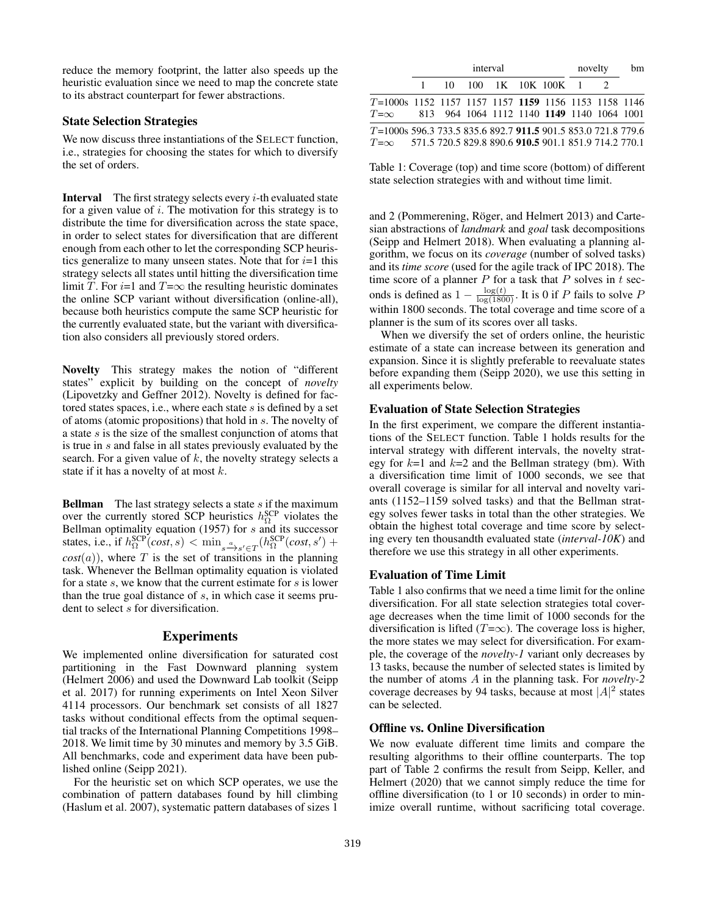reduce the memory footprint, the latter also speeds up the heuristic evaluation since we need to map the concrete state to its abstract counterpart for fewer abstractions.

## State Selection Strategies

We now discuss three instantiations of the SELECT function, i.e., strategies for choosing the states for which to diversify the set of orders.

**Interval** The first strategy selects every  $i$ -th evaluated state for a given value of  $i$ . The motivation for this strategy is to distribute the time for diversification across the state space, in order to select states for diversification that are different enough from each other to let the corresponding SCP heuristics generalize to many unseen states. Note that for  $i=1$  this strategy selects all states until hitting the diversification time limit T. For  $i=1$  and  $T=\infty$  the resulting heuristic dominates the online SCP variant without diversification (online-all), because both heuristics compute the same SCP heuristic for the currently evaluated state, but the variant with diversification also considers all previously stored orders.

Novelty This strategy makes the notion of "different states" explicit by building on the concept of *novelty* (Lipovetzky and Geffner 2012). Novelty is defined for factored states spaces, i.e., where each state s is defined by a set of atoms (atomic propositions) that hold in s. The novelty of a state  $s$  is the size of the smallest conjunction of atoms that is true in s and false in all states previously evaluated by the search. For a given value of  $k$ , the novelty strategy selects a state if it has a novelty of at most  $k$ .

**Bellman** The last strategy selects a state  $s$  if the maximum over the currently stored SCP heuristics  $h_{\Omega}^{\text{SCP}}$  violates the Bellman optimality equation (1957) for s and its successor states, i.e., if  $h_{\Omega}^{\text{SCP}}(cost, s) < \min_{s \to s' \in T} (h_{\Omega}^{\text{SCP}}(cost, s')$  +  $cost(a)$ , where T is the set of transitions in the planning task. Whenever the Bellman optimality equation is violated for a state  $s$ , we know that the current estimate for  $s$  is lower than the true goal distance of  $s$ , in which case it seems prudent to select s for diversification.

## Experiments

We implemented online diversification for saturated cost partitioning in the Fast Downward planning system (Helmert 2006) and used the Downward Lab toolkit (Seipp et al. 2017) for running experiments on Intel Xeon Silver 4114 processors. Our benchmark set consists of all 1827 tasks without conditional effects from the optimal sequential tracks of the International Planning Competitions 1998– 2018. We limit time by 30 minutes and memory by 3.5 GiB. All benchmarks, code and experiment data have been published online (Seipp 2021).

For the heuristic set on which SCP operates, we use the combination of pattern databases found by hill climbing (Haslum et al. 2007), systematic pattern databases of sizes 1

|                                                                                                                                   | interval |  |  |  |                          | novelty |  | bm |
|-----------------------------------------------------------------------------------------------------------------------------------|----------|--|--|--|--------------------------|---------|--|----|
|                                                                                                                                   |          |  |  |  | 1 10 100 1K 10K 100K 1 2 |         |  |    |
| T=1000s 1152 1157 1157 1157 1159 1156 1153 1158 1146<br>$T=\infty$ 813 964 1064 1112 1140 1149 1140 1064 1001                     |          |  |  |  |                          |         |  |    |
| T=1000s 596.3 733.5 835.6 892.7 911.5 901.5 853.0 721.8 779.6<br>$T=\infty$ 571.5 720.5 829.8 890.6 910.5 901.1 851.9 714.2 770.1 |          |  |  |  |                          |         |  |    |

Table 1: Coverage (top) and time score (bottom) of different state selection strategies with and without time limit.

and 2 (Pommerening, Röger, and Helmert 2013) and Cartesian abstractions of *landmark* and *goal* task decompositions (Seipp and Helmert 2018). When evaluating a planning algorithm, we focus on its *coverage* (number of solved tasks) and its *time score* (used for the agile track of IPC 2018). The time score of a planner  $P$  for a task that  $P$  solves in  $t$  seconds is defined as  $1 - \frac{\log(t)}{\log(1800)}$ . It is 0 if P fails to solve P within 1800 seconds. The total coverage and time score of a planner is the sum of its scores over all tasks.

When we diversify the set of orders online, the heuristic estimate of a state can increase between its generation and expansion. Since it is slightly preferable to reevaluate states before expanding them (Seipp 2020), we use this setting in all experiments below.

#### Evaluation of State Selection Strategies

In the first experiment, we compare the different instantiations of the SELECT function. Table 1 holds results for the interval strategy with different intervals, the novelty strategy for  $k=1$  and  $k=2$  and the Bellman strategy (bm). With a diversification time limit of 1000 seconds, we see that overall coverage is similar for all interval and novelty variants (1152–1159 solved tasks) and that the Bellman strategy solves fewer tasks in total than the other strategies. We obtain the highest total coverage and time score by selecting every ten thousandth evaluated state (*interval-10K*) and therefore we use this strategy in all other experiments.

## Evaluation of Time Limit

Table 1 also confirms that we need a time limit for the online diversification. For all state selection strategies total coverage decreases when the time limit of 1000 seconds for the diversification is lifted ( $T=\infty$ ). The coverage loss is higher, the more states we may select for diversification. For example, the coverage of the *novelty-1* variant only decreases by 13 tasks, because the number of selected states is limited by the number of atoms A in the planning task. For *novelty-2* coverage decreases by 94 tasks, because at most  $|A|^2$  states can be selected.

#### Offline vs. Online Diversification

We now evaluate different time limits and compare the resulting algorithms to their offline counterparts. The top part of Table 2 confirms the result from Seipp, Keller, and Helmert (2020) that we cannot simply reduce the time for offline diversification (to 1 or 10 seconds) in order to minimize overall runtime, without sacrificing total coverage.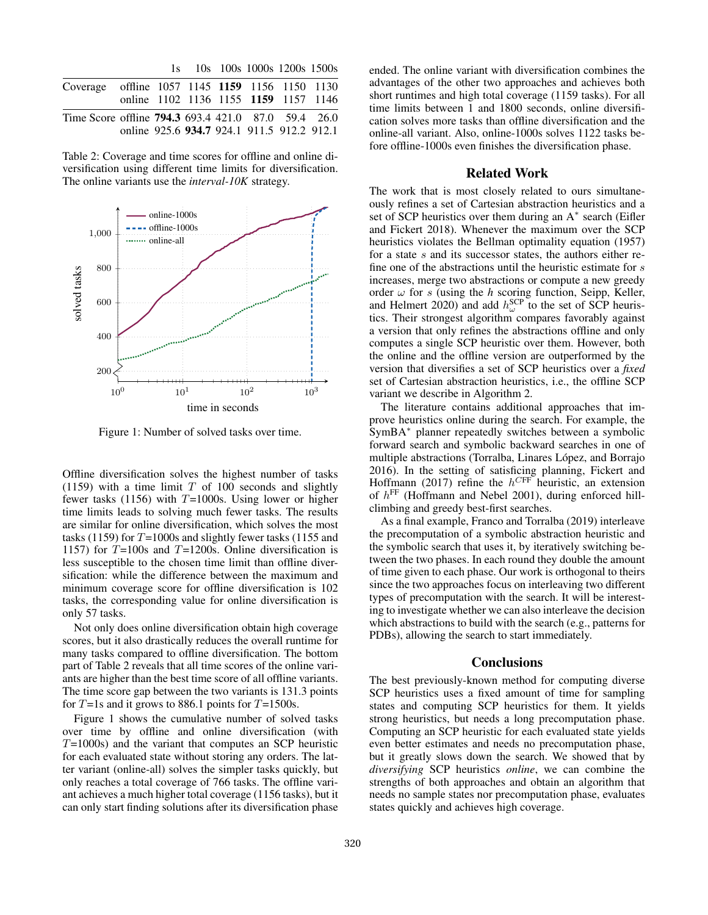|                                                            |                                            |  |  | 1s 10s 100s 1000s 1200s 1500s |  |
|------------------------------------------------------------|--------------------------------------------|--|--|-------------------------------|--|
| Coverage offline 1057 1145 1159 1156 1150 1130             |                                            |  |  |                               |  |
|                                                            | online 1102 1136 1155 1159 1157 1146       |  |  |                               |  |
| Time Score offline <b>794.3</b> 693.4 421.0 87.0 59.4 26.0 |                                            |  |  |                               |  |
|                                                            | online 925.6 934.7 924.1 911.5 912.2 912.1 |  |  |                               |  |

Table 2: Coverage and time scores for offline and online diversification using different time limits for diversification. The online variants use the *interval-10K* strategy.



Figure 1: Number of solved tasks over time.

Offline diversification solves the highest number of tasks (1159) with a time limit  $T$  of 100 seconds and slightly fewer tasks (1156) with  $T=1000$ s. Using lower or higher time limits leads to solving much fewer tasks. The results are similar for online diversification, which solves the most tasks (1159) for  $T=1000s$  and slightly fewer tasks (1155 and 1157) for  $T=100s$  and  $T=1200s$ . Online diversification is less susceptible to the chosen time limit than offline diversification: while the difference between the maximum and minimum coverage score for offline diversification is 102 tasks, the corresponding value for online diversification is only 57 tasks.

Not only does online diversification obtain high coverage scores, but it also drastically reduces the overall runtime for many tasks compared to offline diversification. The bottom part of Table 2 reveals that all time scores of the online variants are higher than the best time score of all offline variants. The time score gap between the two variants is 131.3 points for  $T=1s$  and it grows to 886.1 points for  $T=1500s$ .

Figure 1 shows the cumulative number of solved tasks over time by offline and online diversification (with  $T=1000s$ ) and the variant that computes an SCP heuristic for each evaluated state without storing any orders. The latter variant (online-all) solves the simpler tasks quickly, but only reaches a total coverage of 766 tasks. The offline variant achieves a much higher total coverage (1156 tasks), but it can only start finding solutions after its diversification phase

ended. The online variant with diversification combines the advantages of the other two approaches and achieves both short runtimes and high total coverage (1159 tasks). For all time limits between 1 and 1800 seconds, online diversification solves more tasks than offline diversification and the online-all variant. Also, online-1000s solves 1122 tasks before offline-1000s even finishes the diversification phase.

#### Related Work

The work that is most closely related to ours simultaneously refines a set of Cartesian abstraction heuristics and a set of SCP heuristics over them during an A<sup>\*</sup> search (Eifler and Fickert 2018). Whenever the maximum over the SCP heuristics violates the Bellman optimality equation (1957) for a state s and its successor states, the authors either refine one of the abstractions until the heuristic estimate for s increases, merge two abstractions or compute a new greedy order  $\omega$  for s (using the *h* scoring function, Seipp, Keller, and Helmert 2020) and add  $h_{\omega}^{\text{SCP}}$  to the set of SCP heuristics. Their strongest algorithm compares favorably against a version that only refines the abstractions offline and only computes a single SCP heuristic over them. However, both the online and the offline version are outperformed by the version that diversifies a set of SCP heuristics over a *fixed* set of Cartesian abstraction heuristics, i.e., the offline SCP variant we describe in Algorithm 2.

The literature contains additional approaches that improve heuristics online during the search. For example, the SymBA<sup>∗</sup> planner repeatedly switches between a symbolic forward search and symbolic backward searches in one of multiple abstractions (Torralba, Linares López, and Borrajo 2016). In the setting of satisficing planning, Fickert and Hoffmann (2017) refine the  $h^{CFF}$  heuristic, an extension of  $h^{\text{FF}}$  (Hoffmann and Nebel 2001), during enforced hillclimbing and greedy best-first searches.

As a final example, Franco and Torralba (2019) interleave the precomputation of a symbolic abstraction heuristic and the symbolic search that uses it, by iteratively switching between the two phases. In each round they double the amount of time given to each phase. Our work is orthogonal to theirs since the two approaches focus on interleaving two different types of precomputation with the search. It will be interesting to investigate whether we can also interleave the decision which abstractions to build with the search (e.g., patterns for PDBs), allowing the search to start immediately.

## **Conclusions**

The best previously-known method for computing diverse SCP heuristics uses a fixed amount of time for sampling states and computing SCP heuristics for them. It yields strong heuristics, but needs a long precomputation phase. Computing an SCP heuristic for each evaluated state yields even better estimates and needs no precomputation phase, but it greatly slows down the search. We showed that by *diversifying* SCP heuristics *online*, we can combine the strengths of both approaches and obtain an algorithm that needs no sample states nor precomputation phase, evaluates states quickly and achieves high coverage.